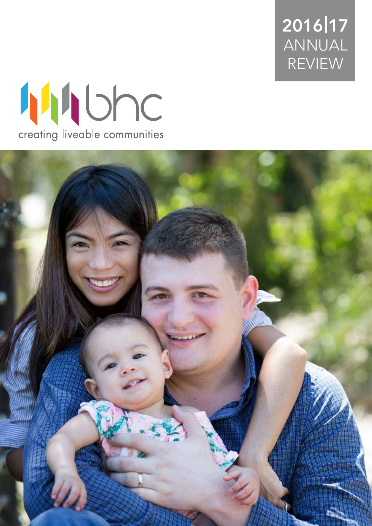2016 17 ANNUAL REVIEW



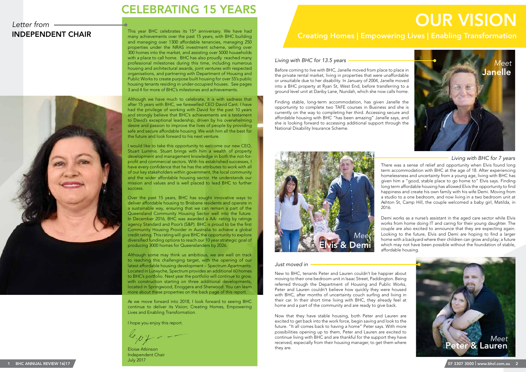### *Letter from*



Before coming to live with BHC, Janelle moved from place to place in the private rental market, living in properties that were unaffordable or unsuitable due to her disability. In January of 2004, Janelle moved into a BHC property at Ryan St, West End, before transferring to a ground level unit at Danby Lane, Nundah, which she now calls home.

Finding stable, long-term accommodation, has given Janelle the opportunity to complete two TAFE courses in Business and she is currently on the way to completing her third. Accessing secure and affordable housing with BHC "has been amazing" Janelle says, and she is looking forward to accessing additional support through the National Disability Insurance Scheme.

> There was a sense of relief and opportunity when Elvis found long term accommodation with BHC at the age of 18. After experiencing homelessness and uncertainty from a young age, living with BHC has given him a "good, stable place to go home to" Elvis says. Finding long term affordable housing has allowed Elvis the opportunity to find happiness and create his own family with his wife Demi. Moving from a studio to a one bedroom, and now living in a two bedroom unit at Ashton St, Camp Hill, the couple welcomed a baby girl, Matilda, in

### INDEPENDENT CHAIR This year BHC celebrates its 15<sup>th</sup> anniversary. We have had<br>This year BHC celebrates is 15<sup>th</sup> anniversary. We have had<br>**Creating Homes | Empowering Lives | Enabling Transformation** OUR VISION

# 2016.

Demi works as a nurse's assistant in the aged care sector while Elvis works from home doing IT and caring for their young daughter. The couple are also excited to announce that they are expecting again. Looking to the future, Elvis and Demi are hoping to find a larger home with a backyard where their children can grow and play; a future which may not have been possible without the foundation of stable, affordable housing.

This year BHC celebrates its 15<sup>th</sup> anniversary. We have had many achievements over the past 15 years, with BHC building and managing over 1300 affordable tenancies, managing 250 properties under the NRAS investment scheme, selling over 300 homes into the market, and assisting over 5000 households with a place to call home. BHC has also proudly reached many professional milestones during this time, including numerous housing and architectural awards, joint ventures with respected organisations, and partnering with Department of Housing and Public Works to create purpose built housing for over 55's public housing tenants residing in under-occupied houses. See pages 3 and 4 for more of BHC's milestones and achievements.

> New to BHC, tenants Peter and Lauren couldn't be happier about moving to their one bedroom unit in Isaac Street, Paddington. Being referred through the Department of Housing and Public Works, Peter and Lauren couldn't believe how quickly they were housed with BHC, after months of uncertainty couch surfing and living in their car. In their short time living with BHC, they already feel at home and a part of the community and are ready to give back.

> Now that they have stable housing, both Peter and Lauren are excited to get back into the work force, begin saving and look to the future. "It all comes back to having a home" Peter says. With more possibilities opening up to them, Peter and Lauren are excited to continue living with BHC and are thankful for the support they have received, especially from their housing manager, to get them where they are.

Although we have much to celebrate, it is with sadness that after 15 years with BHC, we farewelled CEO David Cant. I have had the privilege of working with David for the past 10 years and strongly believe that BHC's achievements are a testament to David's exceptional leadership, driven by his overwhelming desire and passion to improve the lives of people by providing safe and secure affordable housing. We wish him all the best for the future and look forward to his next venture.

I would like to take this opportunity to welcome our new CEO, Stuart Lummis. Stuart brings with him a wealth of property development and management knowledge in both the not-forprofit and commercial sectors. With his established successes, I have every confidence that he has the attributes to work with all of our key stakeholders within government, the local community and the wider affordable housing sector. He understands our mission and values and is well placed to lead BHC to further success.

Over the past 15 years, BHC has sought innovative ways to deliver affordable housing to Brisbane residents and operate in a sustainable way, ensuring that we can remain a part of the Queensland Community Housing Sector well into the future. In December 2016, BHC was awarded a AA- rating by ratings agency Standard and Poor's (S&P). BHC is proud to be the first Community Housing Provider in Australia to achieve a global credit rating. This rating will give BHC the opportunity to explore diversified funding options to reach our 10 year strategic goal of producing 3000 homes for Queenslanders by 2026.

Although some may think us ambitious, we are well on track to reaching this challenging target, with the opening of our latest affordable housing development – Spectrum Apartments. Located in Lutwyche, Spectrum provides an additional 60 homes to BHC's portfolio. Next year the portfolio will continue to grow, with construction starting on three additional developments, located in Springwood, Enoggera and Sherwood. You can learn more about these properties on the back page of this report.

As we move forward into 2018, I look forward to seeing BHC continue to deliver its Vision; Creating Homes, Empowering Lives and Enabling Transformation.

I hope you enjoy this report.

Eloise Atkinson Independent Chair July 2017







#### *Living with BHC for 13.5 years*

*Living with BHC for 7 years*

#### *Just moved in*

### CELEBRATING 15 YEARS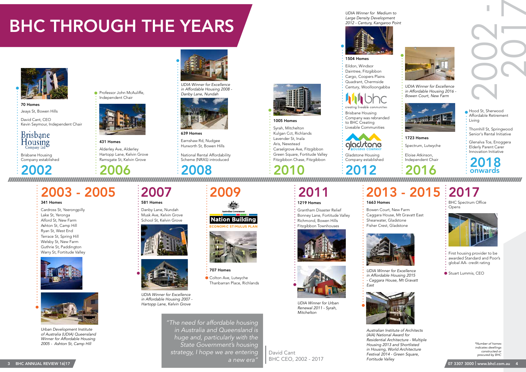





### 2003 - 2005 2007 2009 2011 2013 - 2015 2017

David Cant, CEO Kevin Seymour, Independent Chair

### **Brisbane** Housing



*Urban Development Institute of Australia (UDIA) Queensland Winner for Affordable Housing 2005 - Ashton St, Camp Hill*

#### 341 Homes

Cardross St, Yeerongpilly Lake St, Yeronga Alford St, New Farm Ashton St, Camp Hill Ryan St, West End Terrace St, Spring Hill Welsby St, New Farm Guthrie St, Paddington Warry St, Fortitude Valley



1219 Homes

Grantham Disaster Relief Bonney Lane, Fortitude Valley Richmond, Bowen Hills Fitzgibbon Townhouses



431 Homes

Alderley Ave, Alderley Hartopp Lane, Kelvin Grove Ramsgate St, Kelvin Grove



1504 Homes Eildon, Windsor

Daintree, Fitzgibbon Cargo, Coopers Plains Quadrant, Chermside Century, Woolloongabba

### creating

# 581 Homes

Danby Lane, Nundah Musk Ave, Kelvin Grove School St, Kelvin Grove





*UDIA Winner for Excellence in Affordable Housing 2007 - Hartopp Lane, Kelvin Grove*

*UDIA Winner for Excellence in Affordable Housing 2008 - Danby Lane, Nundah*



*UDIA Winner for Urban Renewal 2011 - Syrah, Mitchelton*

*UDIA Winner for Excellence in Affordable Housing 2015 - Caggara House, Mt Gravatt East*

*Australian Institute of Architects* 



*(AIA) National Award for Residential Architecture - Multiple Housing 2013 and Shortlisted in Housing, World Architecture Festival 2014 - Green Square, Fortitude Valley*

 $3$  BHC ANNUAL REVIEW 16|17  $\sqrt{2}$  or  $3307\,3000$  www.bhcl.com.au  $4$ *"The need for affordable housing in Australia and Queensland is huge and, particularly with the State Government's housing strategy, I hope we are entering a new era"*



*in Affordable Housing 2016 - Bowen Court, New Farm*



Brisbane Housing Company was rebranded



Brisbane Housing Company established

Company established

*UDIA Winner for Medium to Large Density Development* 

1663 Homes

Bowen Court, New Farm Caggara House, Mt Gravatt East Shearwater, Gladstone Fisher Crest, Gladstone



707 Homes

Colton Ave, Lutwyche

Thanbarran Place, Richlands

**Nation Building** 



Earnshaw Rd, Nudgee Hurworth St, Bowen Hills

#### 1723 Homes

Spectrum, Lutwyche

70 Homes Jeays St, Bowen Hills



Syrah, Mitchelton Kulgan Cct, Richlands Lavender St, Inala Aris, Newstead Carselgrove Ave, Fitzgibbon Green Square, Fortitude Valley

Fitzgibbon Chase, Fitzgibbon



**Professor John McAuliffe,** 

National Rental Affordability Scheme (NRAS) introduced

Eloise Atkinson, Independent Chair

> BHC Spectrum Office Opens



Glenalva Tce, Enoggera Elderly Parent Carer Innovation Initiative Senior's Rental Initiative

Thornhill St, Springwood

Hood St, Sherwood Affordable Retirement

Living

First housing provider to be awarded Standard and Poor's global AA- credit rating

● Stuart Lummis, CEO

# BHC THROUGH THE YEARS



2017

2002

David Cant BHC CEO, 2002 - 2017 *\*Number of homes indicates dwellings constructed or procured by BHC*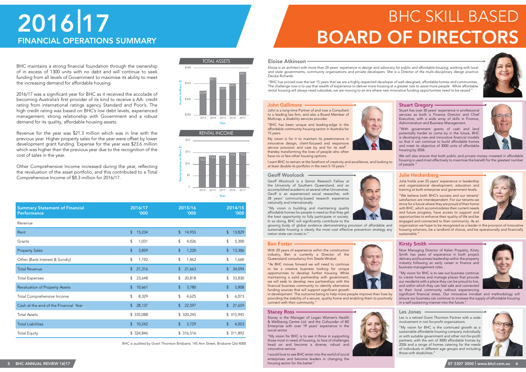#### John Gallimore

### Julie Heckenberg

#### Eloise Atkinson

#### Geoff Woolcock

#### Ben Foster

#### Les Jones

#### Stacey Ross

John is a long-time Partner of and now a Consultant to a leading law firm, and also a Board Member of Multicap, a disability services provider.

"BHC has been unique and leading-edge in the affordable community housing sector in Australia for 15 years.

My vision is for it to maintain its preeminence in innovative design, client-focused and responsive service provision and care by and for its staff thereby transforming the lives of people who often have no or few other housing options.



I want BHC to remain at the forefront of creativity and excellence, and looking to at least double its portfolio in the next 5-10 years."

Eloise is an architect with more than 20 years' experience in design and advocacy for public and affordable housing, working with local and state governments, community organisations and private developers. She is a Director of the multi-disciplinary design practice Deicke Richards.

"BHC has proved over the last 15 years that we are a highly respected developer of well-designed, affordable homes and communities. The challenge now is to use that wealth of experience to deliver more housing at a greater rate to assist more people. While affordable rental housing will always need subsidies, we are moving to an era where new innovative funding opportunities need to be seized."

> Julie holds over 25 years' experience in leadership and organisational development, education and training at both enterprise and government levels.

> "We believe both BHC's success and our tenants' satisfaction are interdependent. For our tenants we strive for a future where they are proud of their home with BHC, which accommodates their current needs and future progress, have access to support and opportunities to enhance their quality of life and be engaged and connected to their community. As an

organisation we hope to be recognised as a leader in the provision of innovative housing solutions, be a landlord of choice, and be operationally and financially sustainable."

### Kirsty Smith .

Stuart has over 30 years' experience in professional services as both a Finance Director and Chief Executive, with a wide array of skills in Finance, Administration and Business Management.

5 BHC ANNUAL REVIEW 16|17 07 3307 3000 www.bhcl.com.au | 6 I would love to see BHC enter into the world of social enterprises and become leaders in changing the housing sector for the better."





"With government grants of cash and land potentially harder to come by in the future, BHC is developing new and innovative financial models so that it can continue to build affordable homes and meet its objective of 3000 units of affordable housing by 2026.

We will also ensure that both public and private money invested in affordable housing is used most effectively to maximise the benefit for the greatest number of people."

# BHC SKILL BASED BOARD OF DIRECTORS

#### **Stuart Gregory**

With 20 years of experience within the construction industry, Ben is currently a Director of the Queensland consultancy firm Steele Wrobel.

## FINANCIAL OPERATIONS SUMMARY 2016 17

"As BHC moves forward we will need to continue to be a creative business looking for unique opportunities to develop further housing. While maintaining a solid partnership with government, we will seek to develop new partnerships with the financial business community to identify alternative funding sources that will support significant growth



Now Managing Director of Kelen Property, Kirsty Smith has years of experience in both project delivery and business leadership within the property industry following an early career in finance and business management roles .

in development. The outcome being to help more people improve their lives by providing the stability of a secure, quality home and enabling them to positively connect with their community." significant financial stress. Our innovative mindset and methodology will ensure our business can continue to increase the supply of affordable housing in a self-sustaining manner into the future."

"My vision for BHC is to see our business continue to create homes and manage places that provide our residents with a place they can be proud to live, and within which they can feel safe and connected to their local community without experiencing

Stacey is the Manager of Logan Women's Health & Wellbeing Centre Ltd. and the Cofounder of BE Enterprise with over 19 years' experience in the social sector.

"My vision for BHC is to see it thrive in supporting those most in need of housing, to face of challenges head on and become a diverse, robust and innovative service.

Les is a retired Grant Thornton Partner with a wide involvement in not-for-profit organisations.

"My vision for BHC is the continued growth as a sustainable affordable housing company individually or with suitable government and other not-for-profit partners, with the aim of 3000 affordable homes by 2026 and a range of homes catering for the needs of individuals in different age groups and including those with disabilities."











Geoff Woolcock is a Senior Research Fellow at the University of Southern Queensland, and an accomplished academic at several other Universities. Geoff is an experienced social researcher, with 28 years' community-based research experience nationally and internationally.

"My vision is building and maintaining quality

affordable homes for people in need so that they get the best opportunity to fully participate in society. In so doing, BHC will significantly contribute to the

growing body of global evidence demonstrating provision of affordable and sustainable housing is clearly the most cost effective prevention strategy any nation state can invest in."

| <b>Summary Statement of Financial</b> | 2016/17     | 2015/16       | 2014/15       |
|---------------------------------------|-------------|---------------|---------------|
| Performance                           | <b>'000</b> | <b>'000</b>   | '000          |
| Revenue                               |             |               |               |
| Rent                                  | \$          | \$            | \$            |
|                                       | 15,234      | 14,955        | 13,829        |
| Grants                                | \$          | \$            | \$            |
|                                       | 1,031       | 4,026         | 5,300         |
| <b>Property Sales</b>                 | $\sqrt{2}$  | $\frac{1}{2}$ | \$            |
|                                       | 3,859       | 1,220         | 13,306        |
| Other (Bank Interest & Sundry)        | \$          | \$            | \$            |
|                                       | 1,192       | 1,462         | 1,660         |
| <b>Total Revenue</b>                  | $\sqrt{2}$  | \$            | \$            |
|                                       | 21,316      | 21,663        | 34,094        |
| <b>Total Expenses</b>                 | \$          | \$            | \$            |
|                                       | 23,648      | 20,818        | 33,830        |
| Revaluation of Property Assets        | $\sqrt{2}$  | \$            | $\frac{1}{2}$ |
|                                       | 10,661      | 3,780         | 5,808         |
| Total Comprehensive Income            | \$          | \$            | \$            |
|                                       | 8,329       | 4,625         | 6,073         |
| Cash at the end of the Financial Year | $\sqrt{2}$  | \$            | $\sqrt{2}$    |
|                                       | 28,137      | 22,597        | 27,659        |
| <b>Total Assets</b>                   | \$ 335,088  | \$320,245     | \$315,945     |
| <b>Total Liabilities</b>              | \$          | \$            | \$            |
|                                       | 10,242      | 3,729         | 4,053         |
| <b>Total Equity</b>                   | \$ 324,846  | \$316,516     | \$311,892     |

BHC is audited by Grant Thornton Brisbane, 145 Ann Street, Brisbane Qld 4000



BHC maintains a strong financial foundation through the ownership of in excess of 1300 units with no debt and will continue to seek funding from all levels of Government to maximise its ability to meet the increasing demand for affordable housing.

2016/17 was a significant year for BHC as it received the accolade of becoming Australia's first provider of its kind to receive a AA- credit rating from international ratings agency Standard and Poor's. The high credit rating was based on BHC's low debt levels, experienced management, strong relationship with Government and a robust demand for its quality, affordable housing assets.

Revenue for the year was \$21.3 million which was in line with the previous year. Higher property sales for the year were offset by lower development grant funding. Expense for the year was \$23.6 million which was higher than the previous year due to the recognition of the cost of sales in the year.

Other Comprehensive Income increased during the year, reflecting the revaluation of the asset portfolio, and this contributed to a Total Comprehensive Income of \$8.3 million for 2016/17.

TOTAL ASSETS